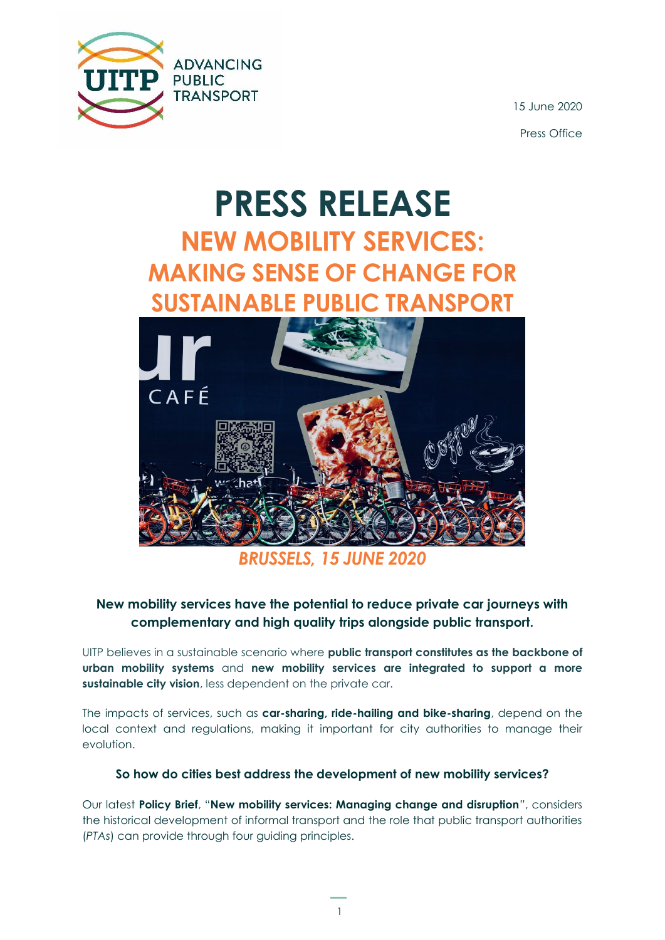

15 June 2020 Press Office

# **PRESS RELEASE NEW MOBILITY SERVICES: MAKING SENSE OF CHANGE FOR SUSTAINABLE PUBLIC TRANSPORT**



*BRUSSELS, 15 JUNE 2020*

### **New mobility services have the potential to reduce private car journeys with complementary and high quality trips alongside public transport.**

UITP believes in a sustainable scenario where **public transport constitutes as the backbone of urban mobility systems** and **new mobility services are integrated to support a more sustainable city vision**, less dependent on the private car.

The impacts of services, such as **car-sharing, ride-hailing and bike-sharing**, depend on the local context and regulations, making it important for city authorities to manage their evolution.

#### **So how do cities best address the development of new mobility services?**

Our latest **Policy Brief**, "**New mobility services: Managing change and disruption***"*, considers the historical development of informal transport and the role that public transport authorities (*PTAs*) can provide through four guiding principles.